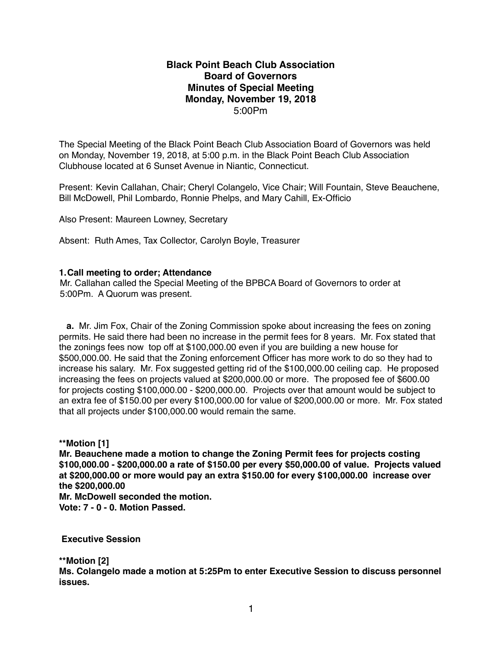## **Black Point Beach Club Association Board of Governors Minutes of Special Meeting Monday, November 19, 2018** 5:00Pm

The Special Meeting of the Black Point Beach Club Association Board of Governors was held on Monday, November 19, 2018, at 5:00 p.m. in the Black Point Beach Club Association Clubhouse located at 6 Sunset Avenue in Niantic, Connecticut.

Present: Kevin Callahan, Chair; Cheryl Colangelo, Vice Chair; Will Fountain, Steve Beauchene, Bill McDowell, Phil Lombardo, Ronnie Phelps, and Mary Cahill, Ex-Officio

Also Present: Maureen Lowney, Secretary

Absent: Ruth Ames, Tax Collector, Carolyn Boyle, Treasurer

## **1.Call meeting to order; Attendance**

Mr. Callahan called the Special Meeting of the BPBCA Board of Governors to order at 5:00Pm. A Quorum was present.

 **a.** Mr. Jim Fox, Chair of the Zoning Commission spoke about increasing the fees on zoning permits. He said there had been no increase in the permit fees for 8 years. Mr. Fox stated that the zonings fees now top off at \$100,000.00 even if you are building a new house for \$500,000.00. He said that the Zoning enforcement Officer has more work to do so they had to increase his salary. Mr. Fox suggested getting rid of the \$100,000.00 ceiling cap. He proposed increasing the fees on projects valued at \$200,000.00 or more. The proposed fee of \$600.00 for projects costing \$100,000.00 - \$200,000.00. Projects over that amount would be subject to an extra fee of \$150.00 per every \$100,000.00 for value of \$200,000.00 or more. Mr. Fox stated that all projects under \$100,000.00 would remain the same.

**\*\*Motion [1]**

**Mr. Beauchene made a motion to change the Zoning Permit fees for projects costing \$100,000.00 - \$200,000.00 a rate of \$150.00 per every \$50,000.00 of value. Projects valued at \$200,000.00 or more would pay an extra \$150.00 for every \$100,000.00 increase over the \$200,000.00**

**Mr. McDowell seconded the motion.**

**Vote: 7 - 0 - 0. Motion Passed.**

 **Executive Session**

**\*\*Motion [2]**

**Ms. Colangelo made a motion at 5:25Pm to enter Executive Session to discuss personnel issues.**